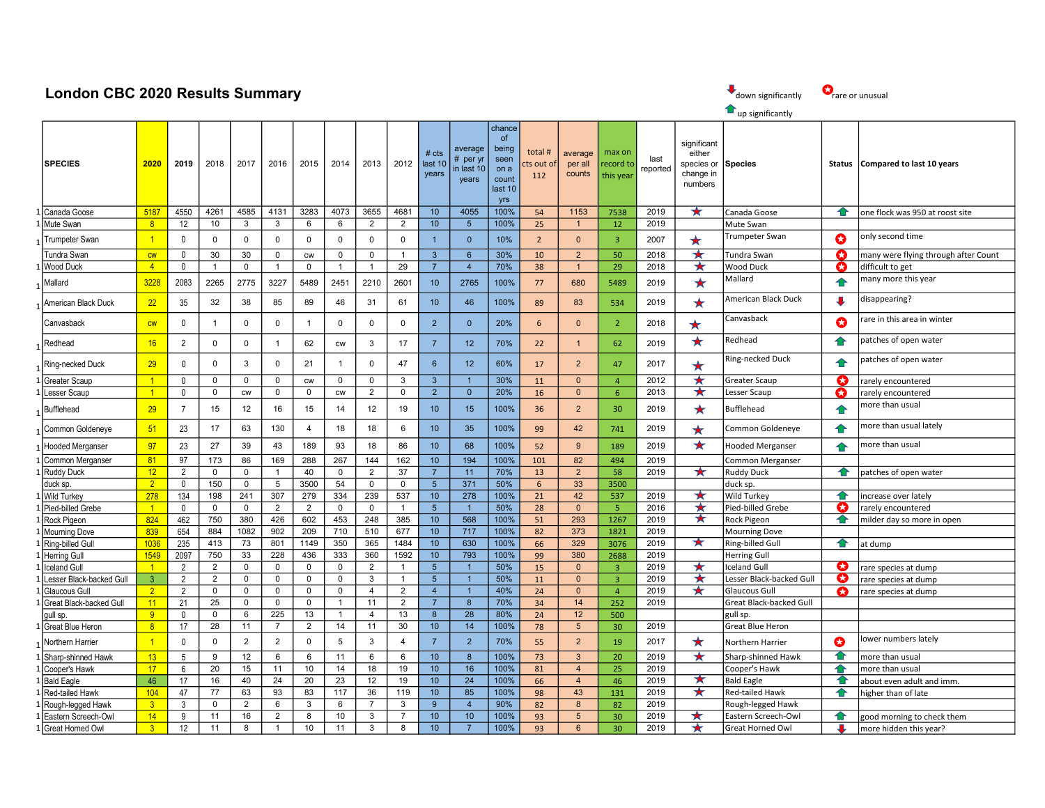## London CBC 2020 Results Summary

1

1

1

| down significantly |  |
|--------------------|--|
|--------------------|--|

## **T**up significantly

SPECIES 2020 2019 2018 2017 2016 2015 2014 2013 2012 # cts last 10 years average # per yr in last 10 years chance of being seen on a count last 10 yrs total # cts out of 112 average per all counts max on record to this year last reported significant **e**ither species or change in numbers Species **Status Compared to last 10 years** 1 Canada Goose 5187 4550 4261 4585 4131 3283 4073 3655 4681 10 4055 100% 54 1153 7538 2019 Canada Goose one flock was 950 at roost site 1 Mute Swan 8 12 12 10 3 3 6 6 2 2 10 5 100% 25 1 1 2 2019 Mute Swan 1 Trumpeter Swan Trumpeter Swan **| 1 |** 0 | 0 | 0 | 0 | 0 | 0 | 0 | 0 | 1 | 0 | 10% | 2 | 0 | 3 | 2007 | ★ | <sup>Trumpeter Swan | ● | only second time</sup> Tundra Swan cw 0 30 30 0 cw 0 0 1 3 6 30% 10 2 50 2018  $\star$  Tundra Swan Comany were flying through after Count 1 Wood Duck 1 4 0 | 1 | 0 | 1 | 0 | 1 | 1 | 29 | 7 | 4 | 70% | 38 | 1 | 29 | 2018 | ★ | Wood Duck | ● | difficult to get <sup>1</sup> Mallard 3228 2083 2265 2775 3227 5489 2451 2210 2601 10 2765 100% <sup>77</sup> <sup>680</sup> <sup>5489</sup> <sup>2019</sup> Mallard many more this year American Black Duck 22 35 32 38 85 89 46 31 61 10 46 100% 89 83 534 2019 ★ American Black Duck ↓ ↓ disappearing? Canvasback controlled <mark>cw 0 1 0 0 1 0 0 0 0 0 2 0 0 20% 6 0 0 2 2018 + Canvasback can can this area in winter controlled to the controlled to the controlled to the controlled to the controlled to the controlled to the cont</mark>  $1$ Redhead  $16$  2 0 0 1 62 cw 3 17 7 12 70% 22 1 62 2019  $\star$  Redhead 1  $\bullet$  patches of open water Ring-necked Duck 29 0 0 3 0 21 1 0 47 6 12 60% 17 2 47 2017 A Ring-necked Duck 29 patches of open water 1 Greater Scaup 1 0 0 0 0 cw 0 0 3 3 1 3 3 1 0 4 2012 ★ Greater Scaup ● C rarely encountered 1 Lesser Scaup 1 0 0 0 cw 0 0 cw 2 0 2 0 20% 16 0 6 2013 ★ Lesser Scaup **● C** rarely encountered Bufflehead <mark> 29 </mark> 7 15 12 16 15 12 19 10 15 100% <mark> 36 2 30 2019 ★ </mark>Bufflehead <del>▲</del> <mark>more than usual</mark> <sup>1</sup> Common Goldeneye 51 23 17 63 130 4 18 18 6 10 35 100% <sup>99</sup> <sup>42</sup> <sup>741</sup> <sup>2019</sup> Common Goldeneye more than usual lately 1 Hooded Merganser 297 23 27 39 43 189 93 18 86 10 68 100% 52 9 189 2019 ★ Hooded Merganser A more than usual 1 Common Merganser **81 97 173 86 169 288 267 144 162 10 194 100% 101 82 494 2019** Common Merganser 1 Ruddy Duck 12 2 0 0 1 40 0 2 37 7 11 70% 13 2 58 2019 ★ Ruddy Duck 1 ← patches of open water duck sp. <mark> 2 </mark> 0 | 150 | 0 | 5 | 3500 | 5 | 0 | 0 | 5 | 371 | 50% | 6 | 33 | 3500 | |duck sp. 1 Wild Turkey 278 134 198 241 307 279 334 239 537 10 278 100% 21 42 537 2019 ★ Wild Turkey · 1 ● increase over lately 1 Pied-billed Grebe 1 0 0 0 0 2 2 0 0 0 1 1 5 1 1 50% 28 0 0 5 2016 ★ Pied-billed Grebe C carely encountered 1 Rock Pigeon 824 462 750 380 426 602 453 248 385 100 568 100% 51 293 1267 2019 ★ Rock Pigeon A filder day so more in open 1 Mourning Dove 839 654 884 1082 902 209 710 510 677 10 717 100% 82 373 1821 2019 Mourning Dove 1 Ring-billed Gull 1036 235 | 413 | 73 | 801 | 1149 | 350 | 365 | 1484 | 10 | 630 | 100% | 66 | 329 | 3076 | 2019 | ★ |Ring-billed Gull | ← |at dump 1 Herring Gull 1549 2097 750 33 228 436 333 360 1592 10 793 100% 99 380 2688 2019 Herring Gull 1 ||celand Gull 1 | 2 | 2 | 0 | 0 | 0 | 2 | 1 | 5 | 1 | 50% | 15 | 0 | 3 | 2019 | ★ ||celand Gull | ● || cre species at dump 1 Lesser Black-backed Gull | 3 | 2 | 2 | 0 | 0 | 0 | 0 | 3 | 1 | 5 | 1 | 50% | 11 | 0 | 3 | 2019 | ★ |Lesser Black-backed Gull | ● |rare species at dump 1 Glaucous Gull 2 2 0 0 0 0 0 0 4 2 4 1 40% 24 0 4 2019 ★ Glaucous Gull ● Care species at dump 1 Great Black-backed Gull **11** 21 25 0 0 0 1 1 11 2 7 8 70% 34 14 252 2019 Great Black-backed Gull gull sp. <mark> 9 </mark> 0 0 6 225 13 1 4 13 8 28 80% 24 12 500 gull sp. 1 Great Blue Heron **8 17 28 11 7 2 14 11 30 10 14 100% 78 5 30 2019** Great Blue Heron <sup>1</sup> Northern Harrier 1 0 0 2 2 0 5 3 4 7 2 70% <sup>55</sup> <sup>2</sup> <sup>19</sup> <sup>2017</sup> Northern Harrier lower numbers lately 1 Sharp-shinned Hawk **13 5 9 12 6 6 11 6 6 10 8 100% 73 3 20** 2019 ★ Sharp-shinned Hawk **4** more than usual 1 Cooper's Hawk 17 6 20 15 11 10 14 18 19 10 16 100% 81 4 25 2019 Cooper's Hawk 1 ← more than usual 1 Bald Eagle 19 16 17 | 16 | 40 | 24 | 20 | 23 | 12 | 19 | 10 | 24 | 100% | 66 | 4 | 46 | 2019 | ★ |Bald Eagle | ● |about even adult and imm. 1 Red-tailed Hawk 104 47 17 63 93 83 117 36 119 10 85 100% 98 43 131 2019 ★ Red-tailed Hawk | ← higher than of late 1 Rough-legged Hawk **3** 3 0 2 6 3 6 7 3 9 4 90% 82 8 82 2019 Rough-legged Hawk

1 Eastern Screech-Owl 14 9 11 16 2 8 10 3 7 10 100 100 93 5 30 2019 ★ Eastern Screech-Owl 1 a good morning to check them 1 Great Horned Owl **3** 12 | 11 | 8 | 1 | 10 | 11 | 3 | 8 | 10 | 7 | 100% 93 | 6 | 30 | 2019 | ★ | Great Horned Owl | ↓ | more hidden this year?

 $\mathbf{Q}_{\text{rare or unusual}}$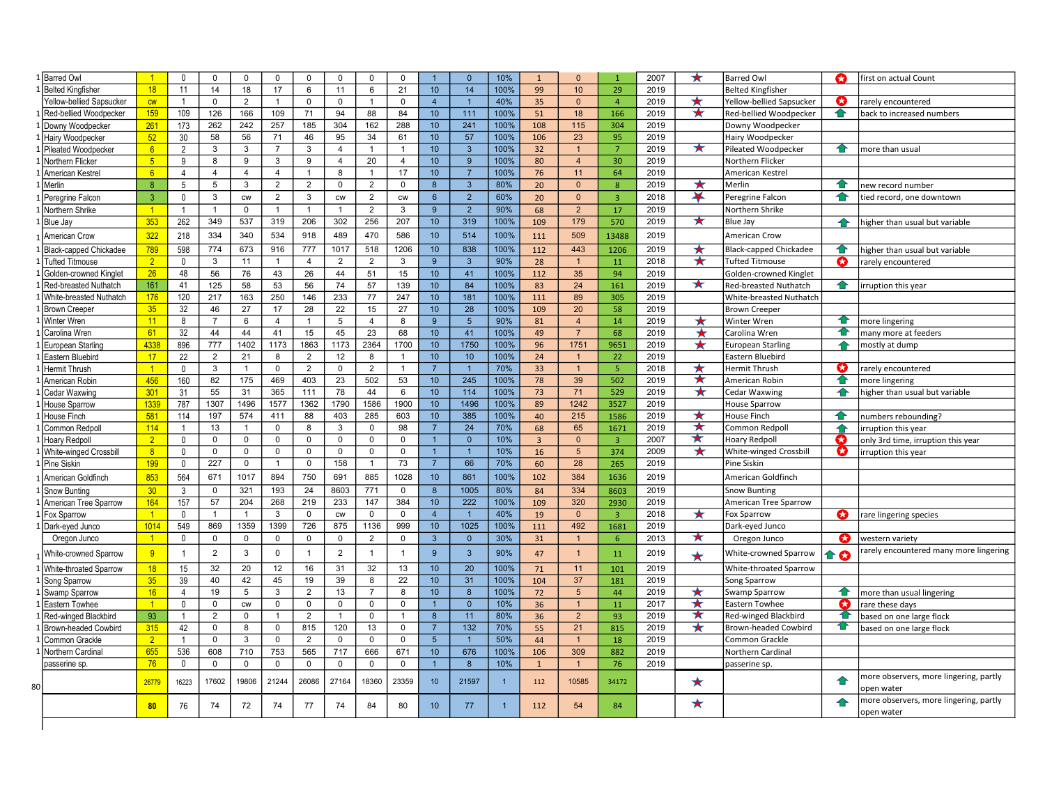| 1 Belted Kingfisher<br>18<br>11<br>21<br>$10$<br>14<br>100%<br>14<br>18<br>17<br>6<br>6<br>99<br>29<br>2019<br>11<br>10<br><b>Belted Kingfisher</b><br>★<br>Ø<br>Yellow-bellied Sapsucker<br>$\Omega$<br>$\overline{2}$<br>0<br>$\mathsf 0$<br>$\mathsf 0$<br>$\overline{4}$<br>$\overline{1}$<br>40%<br>35<br>$\Omega$<br>$\overline{4}$<br>2019<br>Yellow-bellied Sapsucker<br>cw<br>$\overline{1}$<br>$\overline{1}$<br>rarely encountered<br>$\overline{1}$<br>109<br>★<br>159<br>126<br>71<br>94<br>88<br>10<br>111<br>100%<br>2019<br>≏<br>1 Red-bellied Woodpecker<br>166<br>109<br>84<br>51<br>18<br>166<br>Red-bellied Woodpecker<br>back to increased numbers<br>261<br>173<br>10<br>241<br>100%<br>1 Downy Woodpecker<br>262<br>242<br>257<br>185<br>304<br>162<br>288<br>108<br>115<br>304<br>2019<br>Downy Woodpecker<br>52<br>57<br>30<br>58<br>56<br>71<br>46<br>95<br>34<br>61<br>10<br>100%<br>95<br>1 Hairy Woodpecker<br>106<br>23<br>2019<br>Hairy Woodpecker<br>★<br>6<br>$\mathbf{3}$<br>1 Pileated Woodpecker<br>$\overline{2}$<br>3<br>3<br>3<br>$\overline{4}$<br>10<br>100%<br>32<br>2019<br>Pileated Woodpecker<br>ෑ<br>more than usual<br>$\overline{7}$<br>$\overline{1}$<br>$\mathbf{1}$<br>$\overline{7}$<br>-1<br>5 <sub>5</sub><br>1 Northern Flicker<br>9<br>9<br>9<br>20<br>10<br>9<br>100%<br>80<br>2019<br>8<br>3<br>$\overline{4}$<br>$\overline{4}$<br>30<br>Northern Flicker<br>$\overline{4}$<br>6<br>17<br>10<br>$\overline{7}$<br>100%<br>1 American Kestrel<br>$\overline{4}$<br>$\overline{4}$<br>$\overline{4}$<br>$\mathbf{1}$<br>8<br>$\overline{1}$<br>76<br>11<br>64<br>2019<br>American Kestrel<br>$\overline{4}$<br>1 Merlin<br>5<br>$\overline{2}$<br>$\mathbf{3}$<br>80%<br>★<br>8<br>5<br>3<br>$\overline{2}$<br>$\mathbf 0$<br>$\overline{2}$<br>$\mathsf 0$<br>$\boldsymbol{8}$<br>2019<br>ෑ<br>20<br>$\Omega$<br>8<br>Merlin<br>new record number<br>$\overline{\textbf{X}}$<br>$\overline{3}$<br>$\mathbf 0$<br>$\mathbf{3}$<br>$\overline{2}$<br>$\mathbf{3}$<br>$\overline{2}$<br>$\overline{2}$<br>60%<br>≏<br>1 Peregrine Falcon<br>$6\phantom{1}$<br>20<br>$\overline{0}$<br>$\overline{3}$<br>2018<br>tied record, one downtown<br><b>CW</b><br><b>CW</b><br>Peregrine Falcon<br><b>CW</b><br>1 Northern Shrike<br>$\mathbf 0$<br>$\overline{2}$<br>9<br>$\overline{2}$<br>90%<br>68<br>$\overline{2}$<br>17<br>2019<br>$\overline{1}$<br>$\mathbf{1}$<br>3<br>Northern Shrike<br>$\overline{1}$<br>$\overline{1}$<br>$\mathbf{1}$<br>$\mathbf{1}$<br>★<br>353<br>262<br>537<br>206<br>302<br>319<br>349<br>319<br>256<br>207<br>10<br>100%<br>109<br>179<br>2019<br>1 Blue Jay<br>570<br><b>Blue Jay</b><br>higher than usual but variable<br>⇑<br>322<br>334<br>534<br>470<br>218<br>340<br>918<br>489<br>586<br>10<br>514<br>100%<br>509<br>2019<br>1 American Crow<br>111<br>13488<br>American Crow<br>598<br>673<br>1017<br>$\overline{10}$<br>838<br>100%<br>789<br>774<br>916<br>777<br>518<br>1206<br>443<br>2019<br>$\star$<br>1 Black-capped Chickadee<br>112<br><b>Black-capped Chickadee</b><br>≏<br>1206<br>higher than usual but variable<br>★<br>1 Tufted Titmouse<br>2 <sup>2</sup><br>$\mathbf 0$<br>3<br>11<br>$\overline{4}$<br>$\overline{2}$<br>$\overline{2}$<br>3<br>9<br>$\mathbf{3}$<br>90%<br>28<br>2018<br><b>Tufted Titmouse</b><br>Ø<br>rarely encountered<br>$\overline{1}$<br>11<br>-1<br>$\overline{26}$<br>48<br>$\overline{76}$<br>$\overline{26}$<br>$\overline{44}$<br>10<br>$\overline{35}$<br>56<br>43<br>51<br>15<br>41<br>100%<br>2019<br>1 Golden-crowned Kinglet<br>112<br>94<br>Golden-crowned Kinglet<br>$\overline{84}$<br>★<br>161<br>125<br>58<br>53<br>56<br>74<br>57<br>139<br>10<br>100%<br>1 Red-breasted Nuthatch<br>41<br>83<br>24<br>161<br>2019<br>Red-breasted Nuthatch<br>✿<br>Irruption this year<br>120<br>250<br>233<br>77<br>10<br>181<br>176<br>217<br>163<br>146<br>247<br>100%<br>89<br>1 White-breasted Nuthatch<br>2019<br>White-breasted Nuthatch<br>111<br>305<br>35<br>27<br>28<br>22<br>15<br>27<br>28<br>100%<br>2019<br>1 Brown Creeper<br>32<br>46<br>17<br>10<br>109<br>20<br>58<br><b>Brown Creeper</b><br>11<br>≏<br>8<br>$\overline{7}$<br>6<br>5<br>8<br>9<br>$5\phantom{1}$<br>90%<br>2019<br>★<br>1 Winter Wren<br>$\overline{4}$<br>$\overline{4}$<br>Winter Wren<br>1<br>81<br>$\overline{4}$<br>14<br>nore lingering<br>41<br>61<br>32<br>44<br>44<br>41<br>15<br>45<br>23<br>68<br>10<br>100%<br>2019<br>$\star$<br>€<br>1 Carolina Wren<br>49<br>$\overline{7}$<br>68<br>Carolina Wren<br>nany more at feeders<br>896<br>1863<br>1173<br>1700<br>10<br>1750<br>4338<br>777<br>1402<br>1173<br>2364<br>100%<br>1751<br>2019<br>$\star$<br>1 European Starling<br>9651<br><b>European Starling</b><br>96<br>♠<br>nostly at dump<br>12<br>10<br>1 Eastern Bluebird<br>17<br>22<br>$\overline{2}$<br>21<br>8<br>$\overline{2}$<br>8<br>10 <sup>1</sup><br>100%<br>24<br>22<br>2019<br>Eastern Bluebird<br>$\mathbf{1}$<br>-1<br>$\overline{7}$<br>70%<br>$\star$<br>$\overline{1}$<br>$\mathbf{0}$<br>$\overline{2}$<br>$\mathbf 0$<br>$\overline{2}$<br>$\overline{1}$<br>$\overline{5}$<br>2018<br>Ø<br>1 Hermit Thrush<br>3<br>$\overline{1}$<br>$\mathbf 0$<br>$\mathbf{1}$<br>33<br>Hermit Thrush<br>$\overline{1}$<br>arely encountered |                                        |
|-------------------------------------------------------------------------------------------------------------------------------------------------------------------------------------------------------------------------------------------------------------------------------------------------------------------------------------------------------------------------------------------------------------------------------------------------------------------------------------------------------------------------------------------------------------------------------------------------------------------------------------------------------------------------------------------------------------------------------------------------------------------------------------------------------------------------------------------------------------------------------------------------------------------------------------------------------------------------------------------------------------------------------------------------------------------------------------------------------------------------------------------------------------------------------------------------------------------------------------------------------------------------------------------------------------------------------------------------------------------------------------------------------------------------------------------------------------------------------------------------------------------------------------------------------------------------------------------------------------------------------------------------------------------------------------------------------------------------------------------------------------------------------------------------------------------------------------------------------------------------------------------------------------------------------------------------------------------------------------------------------------------------------------------------------------------------------------------------------------------------------------------------------------------------------------------------------------------------------------------------------------------------------------------------------------------------------------------------------------------------------------------------------------------------------------------------------------------------------------------------------------------------------------------------------------------------------------------------------------------------------------------------------------------------------------------------------------------------------------------------------------------------------------------------------------------------------------------------------------------------------------------------------------------------------------------------------------------------------------------------------------------------------------------------------------------------------------------------------------------------------------------------------------------------------------------------------------------------------------------------------------------------------------------------------------------------------------------------------------------------------------------------------------------------------------------------------------------------------------------------------------------------------------------------------------------------------------------------------------------------------------------------------------------------------------------------------------------------------------------------------------------------------------------------------------------------------------------------------------------------------------------------------------------------------------------------------------------------------------------------------------------------------------------------------------------------------------------------------------------------------------------------------------------------------------------------------------------------------------------------------------------------------------------------------------------------------------------------------------------------------------------------------------------------------------------------------------------------------------------------------------------------------------------------------------------------------------------------------------------------------------------------------------------------------------------------------------------------------------------------------------------------------------------------------------------------------------------------------------------------------------------------------------------------------------------------------------------------------------------------------------------------------------------------------------------------------------------------------------------------------------------------------------------------------------------------------------------------------------------------------------------------------------------------|----------------------------------------|
|                                                                                                                                                                                                                                                                                                                                                                                                                                                                                                                                                                                                                                                                                                                                                                                                                                                                                                                                                                                                                                                                                                                                                                                                                                                                                                                                                                                                                                                                                                                                                                                                                                                                                                                                                                                                                                                                                                                                                                                                                                                                                                                                                                                                                                                                                                                                                                                                                                                                                                                                                                                                                                                                                                                                                                                                                                                                                                                                                                                                                                                                                                                                                                                                                                                                                                                                                                                                                                                                                                                                                                                                                                                                                                                                                                                                                                                                                                                                                                                                                                                                                                                                                                                                                                                                                                                                                                                                                                                                                                                                                                                                                                                                                                                                                                                                                                                                                                                                                                                                                                                                                                                                                                                                                                                                                                 |                                        |
|                                                                                                                                                                                                                                                                                                                                                                                                                                                                                                                                                                                                                                                                                                                                                                                                                                                                                                                                                                                                                                                                                                                                                                                                                                                                                                                                                                                                                                                                                                                                                                                                                                                                                                                                                                                                                                                                                                                                                                                                                                                                                                                                                                                                                                                                                                                                                                                                                                                                                                                                                                                                                                                                                                                                                                                                                                                                                                                                                                                                                                                                                                                                                                                                                                                                                                                                                                                                                                                                                                                                                                                                                                                                                                                                                                                                                                                                                                                                                                                                                                                                                                                                                                                                                                                                                                                                                                                                                                                                                                                                                                                                                                                                                                                                                                                                                                                                                                                                                                                                                                                                                                                                                                                                                                                                                                 |                                        |
|                                                                                                                                                                                                                                                                                                                                                                                                                                                                                                                                                                                                                                                                                                                                                                                                                                                                                                                                                                                                                                                                                                                                                                                                                                                                                                                                                                                                                                                                                                                                                                                                                                                                                                                                                                                                                                                                                                                                                                                                                                                                                                                                                                                                                                                                                                                                                                                                                                                                                                                                                                                                                                                                                                                                                                                                                                                                                                                                                                                                                                                                                                                                                                                                                                                                                                                                                                                                                                                                                                                                                                                                                                                                                                                                                                                                                                                                                                                                                                                                                                                                                                                                                                                                                                                                                                                                                                                                                                                                                                                                                                                                                                                                                                                                                                                                                                                                                                                                                                                                                                                                                                                                                                                                                                                                                                 |                                        |
|                                                                                                                                                                                                                                                                                                                                                                                                                                                                                                                                                                                                                                                                                                                                                                                                                                                                                                                                                                                                                                                                                                                                                                                                                                                                                                                                                                                                                                                                                                                                                                                                                                                                                                                                                                                                                                                                                                                                                                                                                                                                                                                                                                                                                                                                                                                                                                                                                                                                                                                                                                                                                                                                                                                                                                                                                                                                                                                                                                                                                                                                                                                                                                                                                                                                                                                                                                                                                                                                                                                                                                                                                                                                                                                                                                                                                                                                                                                                                                                                                                                                                                                                                                                                                                                                                                                                                                                                                                                                                                                                                                                                                                                                                                                                                                                                                                                                                                                                                                                                                                                                                                                                                                                                                                                                                                 |                                        |
|                                                                                                                                                                                                                                                                                                                                                                                                                                                                                                                                                                                                                                                                                                                                                                                                                                                                                                                                                                                                                                                                                                                                                                                                                                                                                                                                                                                                                                                                                                                                                                                                                                                                                                                                                                                                                                                                                                                                                                                                                                                                                                                                                                                                                                                                                                                                                                                                                                                                                                                                                                                                                                                                                                                                                                                                                                                                                                                                                                                                                                                                                                                                                                                                                                                                                                                                                                                                                                                                                                                                                                                                                                                                                                                                                                                                                                                                                                                                                                                                                                                                                                                                                                                                                                                                                                                                                                                                                                                                                                                                                                                                                                                                                                                                                                                                                                                                                                                                                                                                                                                                                                                                                                                                                                                                                                 |                                        |
|                                                                                                                                                                                                                                                                                                                                                                                                                                                                                                                                                                                                                                                                                                                                                                                                                                                                                                                                                                                                                                                                                                                                                                                                                                                                                                                                                                                                                                                                                                                                                                                                                                                                                                                                                                                                                                                                                                                                                                                                                                                                                                                                                                                                                                                                                                                                                                                                                                                                                                                                                                                                                                                                                                                                                                                                                                                                                                                                                                                                                                                                                                                                                                                                                                                                                                                                                                                                                                                                                                                                                                                                                                                                                                                                                                                                                                                                                                                                                                                                                                                                                                                                                                                                                                                                                                                                                                                                                                                                                                                                                                                                                                                                                                                                                                                                                                                                                                                                                                                                                                                                                                                                                                                                                                                                                                 |                                        |
|                                                                                                                                                                                                                                                                                                                                                                                                                                                                                                                                                                                                                                                                                                                                                                                                                                                                                                                                                                                                                                                                                                                                                                                                                                                                                                                                                                                                                                                                                                                                                                                                                                                                                                                                                                                                                                                                                                                                                                                                                                                                                                                                                                                                                                                                                                                                                                                                                                                                                                                                                                                                                                                                                                                                                                                                                                                                                                                                                                                                                                                                                                                                                                                                                                                                                                                                                                                                                                                                                                                                                                                                                                                                                                                                                                                                                                                                                                                                                                                                                                                                                                                                                                                                                                                                                                                                                                                                                                                                                                                                                                                                                                                                                                                                                                                                                                                                                                                                                                                                                                                                                                                                                                                                                                                                                                 |                                        |
|                                                                                                                                                                                                                                                                                                                                                                                                                                                                                                                                                                                                                                                                                                                                                                                                                                                                                                                                                                                                                                                                                                                                                                                                                                                                                                                                                                                                                                                                                                                                                                                                                                                                                                                                                                                                                                                                                                                                                                                                                                                                                                                                                                                                                                                                                                                                                                                                                                                                                                                                                                                                                                                                                                                                                                                                                                                                                                                                                                                                                                                                                                                                                                                                                                                                                                                                                                                                                                                                                                                                                                                                                                                                                                                                                                                                                                                                                                                                                                                                                                                                                                                                                                                                                                                                                                                                                                                                                                                                                                                                                                                                                                                                                                                                                                                                                                                                                                                                                                                                                                                                                                                                                                                                                                                                                                 |                                        |
|                                                                                                                                                                                                                                                                                                                                                                                                                                                                                                                                                                                                                                                                                                                                                                                                                                                                                                                                                                                                                                                                                                                                                                                                                                                                                                                                                                                                                                                                                                                                                                                                                                                                                                                                                                                                                                                                                                                                                                                                                                                                                                                                                                                                                                                                                                                                                                                                                                                                                                                                                                                                                                                                                                                                                                                                                                                                                                                                                                                                                                                                                                                                                                                                                                                                                                                                                                                                                                                                                                                                                                                                                                                                                                                                                                                                                                                                                                                                                                                                                                                                                                                                                                                                                                                                                                                                                                                                                                                                                                                                                                                                                                                                                                                                                                                                                                                                                                                                                                                                                                                                                                                                                                                                                                                                                                 |                                        |
|                                                                                                                                                                                                                                                                                                                                                                                                                                                                                                                                                                                                                                                                                                                                                                                                                                                                                                                                                                                                                                                                                                                                                                                                                                                                                                                                                                                                                                                                                                                                                                                                                                                                                                                                                                                                                                                                                                                                                                                                                                                                                                                                                                                                                                                                                                                                                                                                                                                                                                                                                                                                                                                                                                                                                                                                                                                                                                                                                                                                                                                                                                                                                                                                                                                                                                                                                                                                                                                                                                                                                                                                                                                                                                                                                                                                                                                                                                                                                                                                                                                                                                                                                                                                                                                                                                                                                                                                                                                                                                                                                                                                                                                                                                                                                                                                                                                                                                                                                                                                                                                                                                                                                                                                                                                                                                 |                                        |
|                                                                                                                                                                                                                                                                                                                                                                                                                                                                                                                                                                                                                                                                                                                                                                                                                                                                                                                                                                                                                                                                                                                                                                                                                                                                                                                                                                                                                                                                                                                                                                                                                                                                                                                                                                                                                                                                                                                                                                                                                                                                                                                                                                                                                                                                                                                                                                                                                                                                                                                                                                                                                                                                                                                                                                                                                                                                                                                                                                                                                                                                                                                                                                                                                                                                                                                                                                                                                                                                                                                                                                                                                                                                                                                                                                                                                                                                                                                                                                                                                                                                                                                                                                                                                                                                                                                                                                                                                                                                                                                                                                                                                                                                                                                                                                                                                                                                                                                                                                                                                                                                                                                                                                                                                                                                                                 |                                        |
|                                                                                                                                                                                                                                                                                                                                                                                                                                                                                                                                                                                                                                                                                                                                                                                                                                                                                                                                                                                                                                                                                                                                                                                                                                                                                                                                                                                                                                                                                                                                                                                                                                                                                                                                                                                                                                                                                                                                                                                                                                                                                                                                                                                                                                                                                                                                                                                                                                                                                                                                                                                                                                                                                                                                                                                                                                                                                                                                                                                                                                                                                                                                                                                                                                                                                                                                                                                                                                                                                                                                                                                                                                                                                                                                                                                                                                                                                                                                                                                                                                                                                                                                                                                                                                                                                                                                                                                                                                                                                                                                                                                                                                                                                                                                                                                                                                                                                                                                                                                                                                                                                                                                                                                                                                                                                                 |                                        |
|                                                                                                                                                                                                                                                                                                                                                                                                                                                                                                                                                                                                                                                                                                                                                                                                                                                                                                                                                                                                                                                                                                                                                                                                                                                                                                                                                                                                                                                                                                                                                                                                                                                                                                                                                                                                                                                                                                                                                                                                                                                                                                                                                                                                                                                                                                                                                                                                                                                                                                                                                                                                                                                                                                                                                                                                                                                                                                                                                                                                                                                                                                                                                                                                                                                                                                                                                                                                                                                                                                                                                                                                                                                                                                                                                                                                                                                                                                                                                                                                                                                                                                                                                                                                                                                                                                                                                                                                                                                                                                                                                                                                                                                                                                                                                                                                                                                                                                                                                                                                                                                                                                                                                                                                                                                                                                 |                                        |
|                                                                                                                                                                                                                                                                                                                                                                                                                                                                                                                                                                                                                                                                                                                                                                                                                                                                                                                                                                                                                                                                                                                                                                                                                                                                                                                                                                                                                                                                                                                                                                                                                                                                                                                                                                                                                                                                                                                                                                                                                                                                                                                                                                                                                                                                                                                                                                                                                                                                                                                                                                                                                                                                                                                                                                                                                                                                                                                                                                                                                                                                                                                                                                                                                                                                                                                                                                                                                                                                                                                                                                                                                                                                                                                                                                                                                                                                                                                                                                                                                                                                                                                                                                                                                                                                                                                                                                                                                                                                                                                                                                                                                                                                                                                                                                                                                                                                                                                                                                                                                                                                                                                                                                                                                                                                                                 |                                        |
|                                                                                                                                                                                                                                                                                                                                                                                                                                                                                                                                                                                                                                                                                                                                                                                                                                                                                                                                                                                                                                                                                                                                                                                                                                                                                                                                                                                                                                                                                                                                                                                                                                                                                                                                                                                                                                                                                                                                                                                                                                                                                                                                                                                                                                                                                                                                                                                                                                                                                                                                                                                                                                                                                                                                                                                                                                                                                                                                                                                                                                                                                                                                                                                                                                                                                                                                                                                                                                                                                                                                                                                                                                                                                                                                                                                                                                                                                                                                                                                                                                                                                                                                                                                                                                                                                                                                                                                                                                                                                                                                                                                                                                                                                                                                                                                                                                                                                                                                                                                                                                                                                                                                                                                                                                                                                                 |                                        |
|                                                                                                                                                                                                                                                                                                                                                                                                                                                                                                                                                                                                                                                                                                                                                                                                                                                                                                                                                                                                                                                                                                                                                                                                                                                                                                                                                                                                                                                                                                                                                                                                                                                                                                                                                                                                                                                                                                                                                                                                                                                                                                                                                                                                                                                                                                                                                                                                                                                                                                                                                                                                                                                                                                                                                                                                                                                                                                                                                                                                                                                                                                                                                                                                                                                                                                                                                                                                                                                                                                                                                                                                                                                                                                                                                                                                                                                                                                                                                                                                                                                                                                                                                                                                                                                                                                                                                                                                                                                                                                                                                                                                                                                                                                                                                                                                                                                                                                                                                                                                                                                                                                                                                                                                                                                                                                 |                                        |
|                                                                                                                                                                                                                                                                                                                                                                                                                                                                                                                                                                                                                                                                                                                                                                                                                                                                                                                                                                                                                                                                                                                                                                                                                                                                                                                                                                                                                                                                                                                                                                                                                                                                                                                                                                                                                                                                                                                                                                                                                                                                                                                                                                                                                                                                                                                                                                                                                                                                                                                                                                                                                                                                                                                                                                                                                                                                                                                                                                                                                                                                                                                                                                                                                                                                                                                                                                                                                                                                                                                                                                                                                                                                                                                                                                                                                                                                                                                                                                                                                                                                                                                                                                                                                                                                                                                                                                                                                                                                                                                                                                                                                                                                                                                                                                                                                                                                                                                                                                                                                                                                                                                                                                                                                                                                                                 |                                        |
|                                                                                                                                                                                                                                                                                                                                                                                                                                                                                                                                                                                                                                                                                                                                                                                                                                                                                                                                                                                                                                                                                                                                                                                                                                                                                                                                                                                                                                                                                                                                                                                                                                                                                                                                                                                                                                                                                                                                                                                                                                                                                                                                                                                                                                                                                                                                                                                                                                                                                                                                                                                                                                                                                                                                                                                                                                                                                                                                                                                                                                                                                                                                                                                                                                                                                                                                                                                                                                                                                                                                                                                                                                                                                                                                                                                                                                                                                                                                                                                                                                                                                                                                                                                                                                                                                                                                                                                                                                                                                                                                                                                                                                                                                                                                                                                                                                                                                                                                                                                                                                                                                                                                                                                                                                                                                                 |                                        |
|                                                                                                                                                                                                                                                                                                                                                                                                                                                                                                                                                                                                                                                                                                                                                                                                                                                                                                                                                                                                                                                                                                                                                                                                                                                                                                                                                                                                                                                                                                                                                                                                                                                                                                                                                                                                                                                                                                                                                                                                                                                                                                                                                                                                                                                                                                                                                                                                                                                                                                                                                                                                                                                                                                                                                                                                                                                                                                                                                                                                                                                                                                                                                                                                                                                                                                                                                                                                                                                                                                                                                                                                                                                                                                                                                                                                                                                                                                                                                                                                                                                                                                                                                                                                                                                                                                                                                                                                                                                                                                                                                                                                                                                                                                                                                                                                                                                                                                                                                                                                                                                                                                                                                                                                                                                                                                 |                                        |
|                                                                                                                                                                                                                                                                                                                                                                                                                                                                                                                                                                                                                                                                                                                                                                                                                                                                                                                                                                                                                                                                                                                                                                                                                                                                                                                                                                                                                                                                                                                                                                                                                                                                                                                                                                                                                                                                                                                                                                                                                                                                                                                                                                                                                                                                                                                                                                                                                                                                                                                                                                                                                                                                                                                                                                                                                                                                                                                                                                                                                                                                                                                                                                                                                                                                                                                                                                                                                                                                                                                                                                                                                                                                                                                                                                                                                                                                                                                                                                                                                                                                                                                                                                                                                                                                                                                                                                                                                                                                                                                                                                                                                                                                                                                                                                                                                                                                                                                                                                                                                                                                                                                                                                                                                                                                                                 |                                        |
|                                                                                                                                                                                                                                                                                                                                                                                                                                                                                                                                                                                                                                                                                                                                                                                                                                                                                                                                                                                                                                                                                                                                                                                                                                                                                                                                                                                                                                                                                                                                                                                                                                                                                                                                                                                                                                                                                                                                                                                                                                                                                                                                                                                                                                                                                                                                                                                                                                                                                                                                                                                                                                                                                                                                                                                                                                                                                                                                                                                                                                                                                                                                                                                                                                                                                                                                                                                                                                                                                                                                                                                                                                                                                                                                                                                                                                                                                                                                                                                                                                                                                                                                                                                                                                                                                                                                                                                                                                                                                                                                                                                                                                                                                                                                                                                                                                                                                                                                                                                                                                                                                                                                                                                                                                                                                                 |                                        |
|                                                                                                                                                                                                                                                                                                                                                                                                                                                                                                                                                                                                                                                                                                                                                                                                                                                                                                                                                                                                                                                                                                                                                                                                                                                                                                                                                                                                                                                                                                                                                                                                                                                                                                                                                                                                                                                                                                                                                                                                                                                                                                                                                                                                                                                                                                                                                                                                                                                                                                                                                                                                                                                                                                                                                                                                                                                                                                                                                                                                                                                                                                                                                                                                                                                                                                                                                                                                                                                                                                                                                                                                                                                                                                                                                                                                                                                                                                                                                                                                                                                                                                                                                                                                                                                                                                                                                                                                                                                                                                                                                                                                                                                                                                                                                                                                                                                                                                                                                                                                                                                                                                                                                                                                                                                                                                 |                                        |
|                                                                                                                                                                                                                                                                                                                                                                                                                                                                                                                                                                                                                                                                                                                                                                                                                                                                                                                                                                                                                                                                                                                                                                                                                                                                                                                                                                                                                                                                                                                                                                                                                                                                                                                                                                                                                                                                                                                                                                                                                                                                                                                                                                                                                                                                                                                                                                                                                                                                                                                                                                                                                                                                                                                                                                                                                                                                                                                                                                                                                                                                                                                                                                                                                                                                                                                                                                                                                                                                                                                                                                                                                                                                                                                                                                                                                                                                                                                                                                                                                                                                                                                                                                                                                                                                                                                                                                                                                                                                                                                                                                                                                                                                                                                                                                                                                                                                                                                                                                                                                                                                                                                                                                                                                                                                                                 |                                        |
|                                                                                                                                                                                                                                                                                                                                                                                                                                                                                                                                                                                                                                                                                                                                                                                                                                                                                                                                                                                                                                                                                                                                                                                                                                                                                                                                                                                                                                                                                                                                                                                                                                                                                                                                                                                                                                                                                                                                                                                                                                                                                                                                                                                                                                                                                                                                                                                                                                                                                                                                                                                                                                                                                                                                                                                                                                                                                                                                                                                                                                                                                                                                                                                                                                                                                                                                                                                                                                                                                                                                                                                                                                                                                                                                                                                                                                                                                                                                                                                                                                                                                                                                                                                                                                                                                                                                                                                                                                                                                                                                                                                                                                                                                                                                                                                                                                                                                                                                                                                                                                                                                                                                                                                                                                                                                                 |                                        |
|                                                                                                                                                                                                                                                                                                                                                                                                                                                                                                                                                                                                                                                                                                                                                                                                                                                                                                                                                                                                                                                                                                                                                                                                                                                                                                                                                                                                                                                                                                                                                                                                                                                                                                                                                                                                                                                                                                                                                                                                                                                                                                                                                                                                                                                                                                                                                                                                                                                                                                                                                                                                                                                                                                                                                                                                                                                                                                                                                                                                                                                                                                                                                                                                                                                                                                                                                                                                                                                                                                                                                                                                                                                                                                                                                                                                                                                                                                                                                                                                                                                                                                                                                                                                                                                                                                                                                                                                                                                                                                                                                                                                                                                                                                                                                                                                                                                                                                                                                                                                                                                                                                                                                                                                                                                                                                 |                                        |
| ¥<br>245<br>456<br>160<br>82<br>175<br>469<br>403<br>23<br>502<br>53<br>10<br>100%<br>39<br>2019<br>≏<br>1 American Robin<br>78<br>502<br>American Robin<br>nore lingering                                                                                                                                                                                                                                                                                                                                                                                                                                                                                                                                                                                                                                                                                                                                                                                                                                                                                                                                                                                                                                                                                                                                                                                                                                                                                                                                                                                                                                                                                                                                                                                                                                                                                                                                                                                                                                                                                                                                                                                                                                                                                                                                                                                                                                                                                                                                                                                                                                                                                                                                                                                                                                                                                                                                                                                                                                                                                                                                                                                                                                                                                                                                                                                                                                                                                                                                                                                                                                                                                                                                                                                                                                                                                                                                                                                                                                                                                                                                                                                                                                                                                                                                                                                                                                                                                                                                                                                                                                                                                                                                                                                                                                                                                                                                                                                                                                                                                                                                                                                                                                                                                                                      |                                        |
| 10<br>$\star$<br>301<br>31<br>55<br>365<br>111<br>78<br>44<br>6<br>114<br>100%<br>2019<br>1 Cedar Waxwing<br>31<br>71<br>529<br>73<br><b>Cedar Waxwing</b><br>€<br>igher than usual but variable                                                                                                                                                                                                                                                                                                                                                                                                                                                                                                                                                                                                                                                                                                                                                                                                                                                                                                                                                                                                                                                                                                                                                                                                                                                                                                                                                                                                                                                                                                                                                                                                                                                                                                                                                                                                                                                                                                                                                                                                                                                                                                                                                                                                                                                                                                                                                                                                                                                                                                                                                                                                                                                                                                                                                                                                                                                                                                                                                                                                                                                                                                                                                                                                                                                                                                                                                                                                                                                                                                                                                                                                                                                                                                                                                                                                                                                                                                                                                                                                                                                                                                                                                                                                                                                                                                                                                                                                                                                                                                                                                                                                                                                                                                                                                                                                                                                                                                                                                                                                                                                                                                |                                        |
| 1339<br>787<br>1307<br>1496<br>1577<br>1362<br>1790<br>1586<br>1900<br>10<br>1496<br>100%<br>1242<br>2019<br>1 House Sparrow<br>89<br>3527<br><b>House Sparrow</b>                                                                                                                                                                                                                                                                                                                                                                                                                                                                                                                                                                                                                                                                                                                                                                                                                                                                                                                                                                                                                                                                                                                                                                                                                                                                                                                                                                                                                                                                                                                                                                                                                                                                                                                                                                                                                                                                                                                                                                                                                                                                                                                                                                                                                                                                                                                                                                                                                                                                                                                                                                                                                                                                                                                                                                                                                                                                                                                                                                                                                                                                                                                                                                                                                                                                                                                                                                                                                                                                                                                                                                                                                                                                                                                                                                                                                                                                                                                                                                                                                                                                                                                                                                                                                                                                                                                                                                                                                                                                                                                                                                                                                                                                                                                                                                                                                                                                                                                                                                                                                                                                                                                              |                                        |
| ★<br>581<br>114<br>197<br>574<br>411<br>88<br>403<br>285<br>603<br>10<br>385<br>100%<br>215<br>2019<br>✿<br>1 House Finch<br>1586<br>House Finch<br>40<br>numbers rebounding?                                                                                                                                                                                                                                                                                                                                                                                                                                                                                                                                                                                                                                                                                                                                                                                                                                                                                                                                                                                                                                                                                                                                                                                                                                                                                                                                                                                                                                                                                                                                                                                                                                                                                                                                                                                                                                                                                                                                                                                                                                                                                                                                                                                                                                                                                                                                                                                                                                                                                                                                                                                                                                                                                                                                                                                                                                                                                                                                                                                                                                                                                                                                                                                                                                                                                                                                                                                                                                                                                                                                                                                                                                                                                                                                                                                                                                                                                                                                                                                                                                                                                                                                                                                                                                                                                                                                                                                                                                                                                                                                                                                                                                                                                                                                                                                                                                                                                                                                                                                                                                                                                                                   |                                        |
| ¥<br>114<br>13<br>8<br>3<br>98<br>$\overline{7}$<br>24<br>70%<br>65<br>2019<br>1 Common Redpoll<br>$\overline{1}$<br>$\overline{1}$<br>$\Omega$<br>$\Omega$<br>68<br>1671<br>Common Redpoll<br>rruption this year                                                                                                                                                                                                                                                                                                                                                                                                                                                                                                                                                                                                                                                                                                                                                                                                                                                                                                                                                                                                                                                                                                                                                                                                                                                                                                                                                                                                                                                                                                                                                                                                                                                                                                                                                                                                                                                                                                                                                                                                                                                                                                                                                                                                                                                                                                                                                                                                                                                                                                                                                                                                                                                                                                                                                                                                                                                                                                                                                                                                                                                                                                                                                                                                                                                                                                                                                                                                                                                                                                                                                                                                                                                                                                                                                                                                                                                                                                                                                                                                                                                                                                                                                                                                                                                                                                                                                                                                                                                                                                                                                                                                                                                                                                                                                                                                                                                                                                                                                                                                                                                                               |                                        |
| ★<br>$\overline{0}$<br>$\mathbf 0$<br>10%<br>2007<br>1 Hoary Redpoll<br>2 <sup>2</sup><br>$\mathbf 0$<br>$\mathbf 0$<br>$\mathbf 0$<br>0<br>$\mathbf 0$<br>$\mathbf 0$<br>$\mathbf{0}$<br><b>Hoary Redpoll</b><br>0<br>$\overline{1}$<br>$\overline{\mathbf{3}}$<br>$\overline{\mathbf{3}}$<br>only 3rd time, irruption this year<br>k.                                                                                                                                                                                                                                                                                                                                                                                                                                                                                                                                                                                                                                                                                                                                                                                                                                                                                                                                                                                                                                                                                                                                                                                                                                                                                                                                                                                                                                                                                                                                                                                                                                                                                                                                                                                                                                                                                                                                                                                                                                                                                                                                                                                                                                                                                                                                                                                                                                                                                                                                                                                                                                                                                                                                                                                                                                                                                                                                                                                                                                                                                                                                                                                                                                                                                                                                                                                                                                                                                                                                                                                                                                                                                                                                                                                                                                                                                                                                                                                                                                                                                                                                                                                                                                                                                                                                                                                                                                                                                                                                                                                                                                                                                                                                                                                                                                                                                                                                                         |                                        |
| 8<br>$\Omega$<br>$\mathbf{0}$<br>0<br>$\mathbf 0$<br>10%<br>2009<br>★<br>1 White-winged Crossbill<br>$\mathbf 0$<br>$\mathbf 0$<br>$\mathbf 0$<br>$\mathbf 0$<br>$\overline{1}$<br>$\overline{1}$<br>16<br>5<br>374<br>White-winged Crossbill<br>Ø<br>irruption this year                                                                                                                                                                                                                                                                                                                                                                                                                                                                                                                                                                                                                                                                                                                                                                                                                                                                                                                                                                                                                                                                                                                                                                                                                                                                                                                                                                                                                                                                                                                                                                                                                                                                                                                                                                                                                                                                                                                                                                                                                                                                                                                                                                                                                                                                                                                                                                                                                                                                                                                                                                                                                                                                                                                                                                                                                                                                                                                                                                                                                                                                                                                                                                                                                                                                                                                                                                                                                                                                                                                                                                                                                                                                                                                                                                                                                                                                                                                                                                                                                                                                                                                                                                                                                                                                                                                                                                                                                                                                                                                                                                                                                                                                                                                                                                                                                                                                                                                                                                                                                       |                                        |
| 199<br>227<br>73<br>66<br>70%<br>1   Pine Siskin<br>$\mathbf{0}$<br>$\mathbf{0}$<br>158<br>$\overline{7}$<br>28<br>2019<br><b>Pine Siskin</b><br>0<br>265<br>1<br>60                                                                                                                                                                                                                                                                                                                                                                                                                                                                                                                                                                                                                                                                                                                                                                                                                                                                                                                                                                                                                                                                                                                                                                                                                                                                                                                                                                                                                                                                                                                                                                                                                                                                                                                                                                                                                                                                                                                                                                                                                                                                                                                                                                                                                                                                                                                                                                                                                                                                                                                                                                                                                                                                                                                                                                                                                                                                                                                                                                                                                                                                                                                                                                                                                                                                                                                                                                                                                                                                                                                                                                                                                                                                                                                                                                                                                                                                                                                                                                                                                                                                                                                                                                                                                                                                                                                                                                                                                                                                                                                                                                                                                                                                                                                                                                                                                                                                                                                                                                                                                                                                                                                            |                                        |
| 750<br>853<br>564<br>671<br>691<br>885<br>1017<br>894<br>1028<br>10<br>861<br>100%<br>102<br>384<br>1636<br>2019<br>1 American Goldfinch<br>American Goldfinch                                                                                                                                                                                                                                                                                                                                                                                                                                                                                                                                                                                                                                                                                                                                                                                                                                                                                                                                                                                                                                                                                                                                                                                                                                                                                                                                                                                                                                                                                                                                                                                                                                                                                                                                                                                                                                                                                                                                                                                                                                                                                                                                                                                                                                                                                                                                                                                                                                                                                                                                                                                                                                                                                                                                                                                                                                                                                                                                                                                                                                                                                                                                                                                                                                                                                                                                                                                                                                                                                                                                                                                                                                                                                                                                                                                                                                                                                                                                                                                                                                                                                                                                                                                                                                                                                                                                                                                                                                                                                                                                                                                                                                                                                                                                                                                                                                                                                                                                                                                                                                                                                                                                  |                                        |
| 30 <sup>°</sup><br>321<br>193<br>24<br>8603<br>771<br>1005<br>80%<br>334<br>2019<br>1 Snow Bunting<br>3<br>$\Omega$<br>$\mathbf 0$<br>8<br>84<br>8603<br><b>Snow Bunting</b>                                                                                                                                                                                                                                                                                                                                                                                                                                                                                                                                                                                                                                                                                                                                                                                                                                                                                                                                                                                                                                                                                                                                                                                                                                                                                                                                                                                                                                                                                                                                                                                                                                                                                                                                                                                                                                                                                                                                                                                                                                                                                                                                                                                                                                                                                                                                                                                                                                                                                                                                                                                                                                                                                                                                                                                                                                                                                                                                                                                                                                                                                                                                                                                                                                                                                                                                                                                                                                                                                                                                                                                                                                                                                                                                                                                                                                                                                                                                                                                                                                                                                                                                                                                                                                                                                                                                                                                                                                                                                                                                                                                                                                                                                                                                                                                                                                                                                                                                                                                                                                                                                                                    |                                        |
| 268<br>233<br>10<br>222<br>164<br>157<br>57<br>204<br>219<br>147<br>384<br>100%<br>320<br>2019<br>1 American Tree Sparrow<br>109<br>2930<br>American Tree Sparrow                                                                                                                                                                                                                                                                                                                                                                                                                                                                                                                                                                                                                                                                                                                                                                                                                                                                                                                                                                                                                                                                                                                                                                                                                                                                                                                                                                                                                                                                                                                                                                                                                                                                                                                                                                                                                                                                                                                                                                                                                                                                                                                                                                                                                                                                                                                                                                                                                                                                                                                                                                                                                                                                                                                                                                                                                                                                                                                                                                                                                                                                                                                                                                                                                                                                                                                                                                                                                                                                                                                                                                                                                                                                                                                                                                                                                                                                                                                                                                                                                                                                                                                                                                                                                                                                                                                                                                                                                                                                                                                                                                                                                                                                                                                                                                                                                                                                                                                                                                                                                                                                                                                               |                                        |
| $\overline{4}$<br>40%<br>2018<br>★<br>1 Fox Sparrow<br>$\blacktriangleleft$<br>$\mathbf 0$<br>$\overline{1}$<br>3<br>0<br>cw<br>$\mathbf 0$<br>$\mathbf 0$<br>$\overline{1}$<br>19<br>$\Omega$<br>$\overline{3}$<br>Fox Sparrow<br>œ<br>$\overline{1}$<br>rare lingering species                                                                                                                                                                                                                                                                                                                                                                                                                                                                                                                                                                                                                                                                                                                                                                                                                                                                                                                                                                                                                                                                                                                                                                                                                                                                                                                                                                                                                                                                                                                                                                                                                                                                                                                                                                                                                                                                                                                                                                                                                                                                                                                                                                                                                                                                                                                                                                                                                                                                                                                                                                                                                                                                                                                                                                                                                                                                                                                                                                                                                                                                                                                                                                                                                                                                                                                                                                                                                                                                                                                                                                                                                                                                                                                                                                                                                                                                                                                                                                                                                                                                                                                                                                                                                                                                                                                                                                                                                                                                                                                                                                                                                                                                                                                                                                                                                                                                                                                                                                                                                |                                        |
| 1359<br>726<br>10<br>1025<br>1014<br>549<br>869<br>1399<br>875<br>999<br>100%<br>492<br>2019<br>1 Dark-eyed Junco<br>1136<br>1681<br>Dark-eyed Junco<br>111                                                                                                                                                                                                                                                                                                                                                                                                                                                                                                                                                                                                                                                                                                                                                                                                                                                                                                                                                                                                                                                                                                                                                                                                                                                                                                                                                                                                                                                                                                                                                                                                                                                                                                                                                                                                                                                                                                                                                                                                                                                                                                                                                                                                                                                                                                                                                                                                                                                                                                                                                                                                                                                                                                                                                                                                                                                                                                                                                                                                                                                                                                                                                                                                                                                                                                                                                                                                                                                                                                                                                                                                                                                                                                                                                                                                                                                                                                                                                                                                                                                                                                                                                                                                                                                                                                                                                                                                                                                                                                                                                                                                                                                                                                                                                                                                                                                                                                                                                                                                                                                                                                                                     |                                        |
| ★<br>$\mathbf 0$<br>$\Omega$<br>$\mathbf 0$<br>$\mathbf 0$<br>0<br>$\mathbf 0$<br>$\overline{2}$<br>0<br>$\mathbf{3}$<br>$\overline{0}$<br>30%<br>2013<br>Ø<br>Oregon Junco<br>$\overline{1}$<br>31<br>6<br>Oregon Junco<br>-1<br>western variety                                                                                                                                                                                                                                                                                                                                                                                                                                                                                                                                                                                                                                                                                                                                                                                                                                                                                                                                                                                                                                                                                                                                                                                                                                                                                                                                                                                                                                                                                                                                                                                                                                                                                                                                                                                                                                                                                                                                                                                                                                                                                                                                                                                                                                                                                                                                                                                                                                                                                                                                                                                                                                                                                                                                                                                                                                                                                                                                                                                                                                                                                                                                                                                                                                                                                                                                                                                                                                                                                                                                                                                                                                                                                                                                                                                                                                                                                                                                                                                                                                                                                                                                                                                                                                                                                                                                                                                                                                                                                                                                                                                                                                                                                                                                                                                                                                                                                                                                                                                                                                               |                                        |
|                                                                                                                                                                                                                                                                                                                                                                                                                                                                                                                                                                                                                                                                                                                                                                                                                                                                                                                                                                                                                                                                                                                                                                                                                                                                                                                                                                                                                                                                                                                                                                                                                                                                                                                                                                                                                                                                                                                                                                                                                                                                                                                                                                                                                                                                                                                                                                                                                                                                                                                                                                                                                                                                                                                                                                                                                                                                                                                                                                                                                                                                                                                                                                                                                                                                                                                                                                                                                                                                                                                                                                                                                                                                                                                                                                                                                                                                                                                                                                                                                                                                                                                                                                                                                                                                                                                                                                                                                                                                                                                                                                                                                                                                                                                                                                                                                                                                                                                                                                                                                                                                                                                                                                                                                                                                                                 | rarely encountered many more lingering |
| 9<br>$\mathbf{3}$<br>$\overline{2}$<br>$\overline{3}$<br>$\overline{1}$<br>$\overline{2}$<br>$\mathbf 0$<br>$\mathbf{1}$<br>9<br>90%<br>47<br>11<br>2019<br>1 White-crowned Sparrow<br>$\mathbf{1}$<br>$\overline{1}$<br>$\overline{1}$<br>White-crowned Sparrow<br>$\star$<br>40                                                                                                                                                                                                                                                                                                                                                                                                                                                                                                                                                                                                                                                                                                                                                                                                                                                                                                                                                                                                                                                                                                                                                                                                                                                                                                                                                                                                                                                                                                                                                                                                                                                                                                                                                                                                                                                                                                                                                                                                                                                                                                                                                                                                                                                                                                                                                                                                                                                                                                                                                                                                                                                                                                                                                                                                                                                                                                                                                                                                                                                                                                                                                                                                                                                                                                                                                                                                                                                                                                                                                                                                                                                                                                                                                                                                                                                                                                                                                                                                                                                                                                                                                                                                                                                                                                                                                                                                                                                                                                                                                                                                                                                                                                                                                                                                                                                                                                                                                                                                               |                                        |
| 1 White-throated Sparrow<br>18<br>15<br>32<br>20<br>12<br>16<br>31<br>32<br>13<br>10<br>20<br>100%<br>71<br>101<br>2019<br>11<br>White-throated Sparrow                                                                                                                                                                                                                                                                                                                                                                                                                                                                                                                                                                                                                                                                                                                                                                                                                                                                                                                                                                                                                                                                                                                                                                                                                                                                                                                                                                                                                                                                                                                                                                                                                                                                                                                                                                                                                                                                                                                                                                                                                                                                                                                                                                                                                                                                                                                                                                                                                                                                                                                                                                                                                                                                                                                                                                                                                                                                                                                                                                                                                                                                                                                                                                                                                                                                                                                                                                                                                                                                                                                                                                                                                                                                                                                                                                                                                                                                                                                                                                                                                                                                                                                                                                                                                                                                                                                                                                                                                                                                                                                                                                                                                                                                                                                                                                                                                                                                                                                                                                                                                                                                                                                                         |                                        |
| 35<br>39<br>1 Song Sparrow<br>40<br>45<br>19<br>39<br>22<br>10<br>31<br>37<br>2019<br>42<br>$\mathsf{R}$<br>100%<br>104<br>181<br>Song Sparrow                                                                                                                                                                                                                                                                                                                                                                                                                                                                                                                                                                                                                                                                                                                                                                                                                                                                                                                                                                                                                                                                                                                                                                                                                                                                                                                                                                                                                                                                                                                                                                                                                                                                                                                                                                                                                                                                                                                                                                                                                                                                                                                                                                                                                                                                                                                                                                                                                                                                                                                                                                                                                                                                                                                                                                                                                                                                                                                                                                                                                                                                                                                                                                                                                                                                                                                                                                                                                                                                                                                                                                                                                                                                                                                                                                                                                                                                                                                                                                                                                                                                                                                                                                                                                                                                                                                                                                                                                                                                                                                                                                                                                                                                                                                                                                                                                                                                                                                                                                                                                                                                                                                                                  |                                        |
| 16<br>10<br>★<br>1 Swamp Sparrow<br>$\overline{4}$<br>19<br>5<br>3<br>$\overline{2}$<br>13<br>$\overline{7}$<br>8<br>8<br>100%<br>72<br>5<br>44<br>2019<br>✿<br>nore than usual lingering<br>Swamp Sparrow                                                                                                                                                                                                                                                                                                                                                                                                                                                                                                                                                                                                                                                                                                                                                                                                                                                                                                                                                                                                                                                                                                                                                                                                                                                                                                                                                                                                                                                                                                                                                                                                                                                                                                                                                                                                                                                                                                                                                                                                                                                                                                                                                                                                                                                                                                                                                                                                                                                                                                                                                                                                                                                                                                                                                                                                                                                                                                                                                                                                                                                                                                                                                                                                                                                                                                                                                                                                                                                                                                                                                                                                                                                                                                                                                                                                                                                                                                                                                                                                                                                                                                                                                                                                                                                                                                                                                                                                                                                                                                                                                                                                                                                                                                                                                                                                                                                                                                                                                                                                                                                                                      |                                        |
| ★<br>1 Eastern Towhee<br>$\mathbf 0$<br>$\overline{0}$<br>10%<br>0<br>$\mathsf 0$<br>$\mathsf 0$<br>11<br>2017<br>Eastern Towhee<br>rare these days<br>$\overline{1}$<br>$\Omega$<br><b>CW</b><br>$\Omega$<br>$\Omega$<br>$\overline{1}$<br>36<br>63<br>$\overline{1}$                                                                                                                                                                                                                                                                                                                                                                                                                                                                                                                                                                                                                                                                                                                                                                                                                                                                                                                                                                                                                                                                                                                                                                                                                                                                                                                                                                                                                                                                                                                                                                                                                                                                                                                                                                                                                                                                                                                                                                                                                                                                                                                                                                                                                                                                                                                                                                                                                                                                                                                                                                                                                                                                                                                                                                                                                                                                                                                                                                                                                                                                                                                                                                                                                                                                                                                                                                                                                                                                                                                                                                                                                                                                                                                                                                                                                                                                                                                                                                                                                                                                                                                                                                                                                                                                                                                                                                                                                                                                                                                                                                                                                                                                                                                                                                                                                                                                                                                                                                                                                          |                                        |
| ¥<br>93<br>1 Red-winged Blackbird<br>$\overline{2}$<br>$\mathbf 0$<br>$\overline{2}$<br>0<br>$\boldsymbol{8}$<br>11<br>80%<br>36<br>$\overline{2}$<br>93<br>2019<br>€<br>$\overline{1}$<br>$\mathbf{1}$<br>Red-winged Blackbird<br>based on one large flock<br>$\mathbf{1}$<br>-1                                                                                                                                                                                                                                                                                                                                                                                                                                                                                                                                                                                                                                                                                                                                                                                                                                                                                                                                                                                                                                                                                                                                                                                                                                                                                                                                                                                                                                                                                                                                                                                                                                                                                                                                                                                                                                                                                                                                                                                                                                                                                                                                                                                                                                                                                                                                                                                                                                                                                                                                                                                                                                                                                                                                                                                                                                                                                                                                                                                                                                                                                                                                                                                                                                                                                                                                                                                                                                                                                                                                                                                                                                                                                                                                                                                                                                                                                                                                                                                                                                                                                                                                                                                                                                                                                                                                                                                                                                                                                                                                                                                                                                                                                                                                                                                                                                                                                                                                                                                                               |                                        |
| 315<br>42<br>★<br>815<br>120<br>132<br>70%<br>55<br>2019<br>€<br>1 Brown-headed Cowbird<br>8<br>13<br>$\mathsf 0$<br>$\overline{7}$<br>21<br>815<br>$\Omega$<br>$\mathbf 0$<br>Brown-headed Cowbird<br>based on one large flock                                                                                                                                                                                                                                                                                                                                                                                                                                                                                                                                                                                                                                                                                                                                                                                                                                                                                                                                                                                                                                                                                                                                                                                                                                                                                                                                                                                                                                                                                                                                                                                                                                                                                                                                                                                                                                                                                                                                                                                                                                                                                                                                                                                                                                                                                                                                                                                                                                                                                                                                                                                                                                                                                                                                                                                                                                                                                                                                                                                                                                                                                                                                                                                                                                                                                                                                                                                                                                                                                                                                                                                                                                                                                                                                                                                                                                                                                                                                                                                                                                                                                                                                                                                                                                                                                                                                                                                                                                                                                                                                                                                                                                                                                                                                                                                                                                                                                                                                                                                                                                                                 |                                        |
| 2 <sup>1</sup><br>50%<br>1 Common Grackle<br>$\overline{1}$<br>0<br>3<br>$\mathbf 0$<br>$\overline{2}$<br>$\mathsf 0$<br>0<br>$\mathsf 0$<br>$5\overline{5}$<br>$\overline{1}$<br>44<br>$\overline{1}$<br>18<br>2019<br>Common Grackle                                                                                                                                                                                                                                                                                                                                                                                                                                                                                                                                                                                                                                                                                                                                                                                                                                                                                                                                                                                                                                                                                                                                                                                                                                                                                                                                                                                                                                                                                                                                                                                                                                                                                                                                                                                                                                                                                                                                                                                                                                                                                                                                                                                                                                                                                                                                                                                                                                                                                                                                                                                                                                                                                                                                                                                                                                                                                                                                                                                                                                                                                                                                                                                                                                                                                                                                                                                                                                                                                                                                                                                                                                                                                                                                                                                                                                                                                                                                                                                                                                                                                                                                                                                                                                                                                                                                                                                                                                                                                                                                                                                                                                                                                                                                                                                                                                                                                                                                                                                                                                                          |                                        |
| 536<br>655<br>608<br>753<br>565<br>717<br>666<br>10<br>676<br>1 Northern Cardinal<br>710<br>671<br>100%<br>106<br>309<br>882<br>2019<br>Northern Cardinal                                                                                                                                                                                                                                                                                                                                                                                                                                                                                                                                                                                                                                                                                                                                                                                                                                                                                                                                                                                                                                                                                                                                                                                                                                                                                                                                                                                                                                                                                                                                                                                                                                                                                                                                                                                                                                                                                                                                                                                                                                                                                                                                                                                                                                                                                                                                                                                                                                                                                                                                                                                                                                                                                                                                                                                                                                                                                                                                                                                                                                                                                                                                                                                                                                                                                                                                                                                                                                                                                                                                                                                                                                                                                                                                                                                                                                                                                                                                                                                                                                                                                                                                                                                                                                                                                                                                                                                                                                                                                                                                                                                                                                                                                                                                                                                                                                                                                                                                                                                                                                                                                                                                       |                                        |
| 76<br>$\mathbf 0$<br>$\mathbf 0$<br>$\mathbf 0$<br>$\mathsf 0$<br>0<br>$\mathsf 0$<br>$\mathbf 0$<br>$\mathsf 0$<br>8<br>10%<br>76<br>2019<br>$\overline{1}$<br>$\mathbf{1}$<br>$\overline{1}$<br>passerine sp.<br>passerine sp                                                                                                                                                                                                                                                                                                                                                                                                                                                                                                                                                                                                                                                                                                                                                                                                                                                                                                                                                                                                                                                                                                                                                                                                                                                                                                                                                                                                                                                                                                                                                                                                                                                                                                                                                                                                                                                                                                                                                                                                                                                                                                                                                                                                                                                                                                                                                                                                                                                                                                                                                                                                                                                                                                                                                                                                                                                                                                                                                                                                                                                                                                                                                                                                                                                                                                                                                                                                                                                                                                                                                                                                                                                                                                                                                                                                                                                                                                                                                                                                                                                                                                                                                                                                                                                                                                                                                                                                                                                                                                                                                                                                                                                                                                                                                                                                                                                                                                                                                                                                                                                                 |                                        |
|                                                                                                                                                                                                                                                                                                                                                                                                                                                                                                                                                                                                                                                                                                                                                                                                                                                                                                                                                                                                                                                                                                                                                                                                                                                                                                                                                                                                                                                                                                                                                                                                                                                                                                                                                                                                                                                                                                                                                                                                                                                                                                                                                                                                                                                                                                                                                                                                                                                                                                                                                                                                                                                                                                                                                                                                                                                                                                                                                                                                                                                                                                                                                                                                                                                                                                                                                                                                                                                                                                                                                                                                                                                                                                                                                                                                                                                                                                                                                                                                                                                                                                                                                                                                                                                                                                                                                                                                                                                                                                                                                                                                                                                                                                                                                                                                                                                                                                                                                                                                                                                                                                                                                                                                                                                                                                 | nore observers, more lingering, partly |
| $\star$<br>26779<br>16223<br>19806<br>21244<br>27164<br>23359<br>10<br>21597<br>17602<br>26086<br>18360<br>112<br>10585<br>34172<br>80 <br>open water                                                                                                                                                                                                                                                                                                                                                                                                                                                                                                                                                                                                                                                                                                                                                                                                                                                                                                                                                                                                                                                                                                                                                                                                                                                                                                                                                                                                                                                                                                                                                                                                                                                                                                                                                                                                                                                                                                                                                                                                                                                                                                                                                                                                                                                                                                                                                                                                                                                                                                                                                                                                                                                                                                                                                                                                                                                                                                                                                                                                                                                                                                                                                                                                                                                                                                                                                                                                                                                                                                                                                                                                                                                                                                                                                                                                                                                                                                                                                                                                                                                                                                                                                                                                                                                                                                                                                                                                                                                                                                                                                                                                                                                                                                                                                                                                                                                                                                                                                                                                                                                                                                                                           |                                        |
| $\star$<br>♠                                                                                                                                                                                                                                                                                                                                                                                                                                                                                                                                                                                                                                                                                                                                                                                                                                                                                                                                                                                                                                                                                                                                                                                                                                                                                                                                                                                                                                                                                                                                                                                                                                                                                                                                                                                                                                                                                                                                                                                                                                                                                                                                                                                                                                                                                                                                                                                                                                                                                                                                                                                                                                                                                                                                                                                                                                                                                                                                                                                                                                                                                                                                                                                                                                                                                                                                                                                                                                                                                                                                                                                                                                                                                                                                                                                                                                                                                                                                                                                                                                                                                                                                                                                                                                                                                                                                                                                                                                                                                                                                                                                                                                                                                                                                                                                                                                                                                                                                                                                                                                                                                                                                                                                                                                                                                    |                                        |
| 76<br>80<br>72<br>74<br>77<br>74<br>80<br>77<br>74<br>84<br>10<br>112<br>54<br>84                                                                                                                                                                                                                                                                                                                                                                                                                                                                                                                                                                                                                                                                                                                                                                                                                                                                                                                                                                                                                                                                                                                                                                                                                                                                                                                                                                                                                                                                                                                                                                                                                                                                                                                                                                                                                                                                                                                                                                                                                                                                                                                                                                                                                                                                                                                                                                                                                                                                                                                                                                                                                                                                                                                                                                                                                                                                                                                                                                                                                                                                                                                                                                                                                                                                                                                                                                                                                                                                                                                                                                                                                                                                                                                                                                                                                                                                                                                                                                                                                                                                                                                                                                                                                                                                                                                                                                                                                                                                                                                                                                                                                                                                                                                                                                                                                                                                                                                                                                                                                                                                                                                                                                                                               | more observers, more lingering, partly |